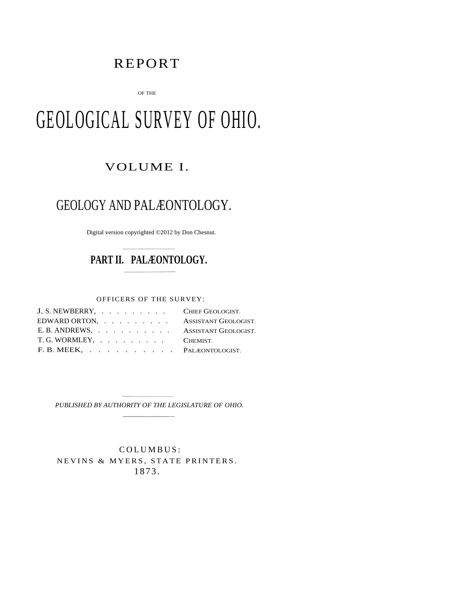# REPORT

OF THE

# GEOLOGICAL SURVEY OF OHIO.

## VOLUME I.

# GEOLOGY AND PALÆONTOLOGY.

Digital version copyrighted ©2012 by Don Chesnut.

# **PART II. PALÆONTOLOGY.**

OFFICERS OF THE SURVEY:

| J. S. NEWBERRY, CHIEF GEOLOGIST.    |  |
|-------------------------------------|--|
| EDWARD ORTON, ASSISTANT GEOLOGIST.  |  |
| E. B. ANDREWS, ASSISTANT GEOLOGIST. |  |
| T. G. WORMLEY, CHEMIST.             |  |
| F. B. MEEK, PALEONTOLOGIST.         |  |

*PUBLISHED BY AUTHORITY OF THE LEGISLATURE OF OHIO.*

 COLUMBUS: NEVINS & MYERS, STATE PRINTERS. 1873.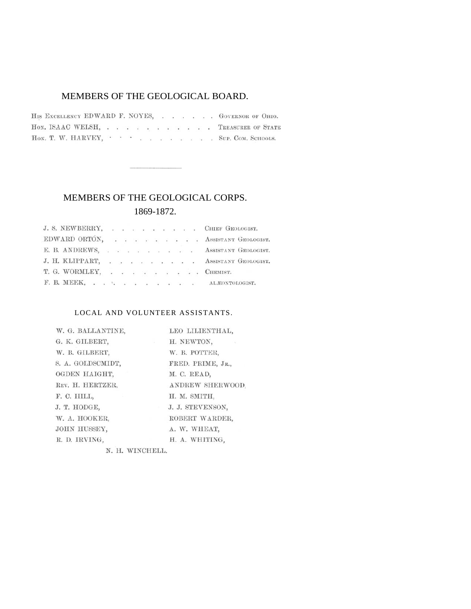### MEMBERS OF THE GEOLOGICAL BOARD.

HIS EXCELLENCY EDWARD F. NOYES, . . . . . GOVERNOR OF OHIO. HON, ISAAC WELSH, . . . . . . . . . . TREASURER OF STATE HON. T. W. HARVEY, The Music Connection of the Music Connection of Music Connection of Music Connection of Music Connection of Music Connection of Music Connection of Music Connection of Music Connection of Music Connectio

## MEMBERS OF THE GEOLOGICAL CORPS. 1869-1872.

| J. S. NEWBERRY, CHIEF GEOLOGIST.                                                                                                                                                                                                                                                                                                                                                                                                           |  |  |  |  |                                                                                                                                                                                                                 |
|--------------------------------------------------------------------------------------------------------------------------------------------------------------------------------------------------------------------------------------------------------------------------------------------------------------------------------------------------------------------------------------------------------------------------------------------|--|--|--|--|-----------------------------------------------------------------------------------------------------------------------------------------------------------------------------------------------------------------|
|                                                                                                                                                                                                                                                                                                                                                                                                                                            |  |  |  |  | $\text{EDWARD } \text{ORTÒN}, \quad \text{ . } \quad \text{ . } \quad \text{ . } \quad \text{ . } \quad \text{ . } \quad \text{ . } \quad \text{ . } \quad \text{ . } \quad \text{ { AssistrANT } GEOLOGIST. }$ |
|                                                                                                                                                                                                                                                                                                                                                                                                                                            |  |  |  |  | E. B. ANDREWS, ASSISTANT GEOLOGIST.                                                                                                                                                                             |
|                                                                                                                                                                                                                                                                                                                                                                                                                                            |  |  |  |  | J. H. KLIPPART, ASSISTANT GEOLOGIST.                                                                                                                                                                            |
| T. G. WORMLEY, $\quad \, . \qquad \, . \qquad \, . \qquad \, . \qquad \, . \qquad \, . \qquad \, . \qquad \, . \qquad \, . \qquad \, . \qquad \, . \qquad \, . \qquad \, . \qquad \, . \qquad \, . \qquad \, . \qquad \, . \qquad \, . \qquad \, . \qquad \, . \qquad \, . \qquad \, . \qquad \, . \qquad \, . \qquad \, . \qquad \, . \qquad \, . \qquad \, . \qquad \, . \qquad \, . \qquad \, . \qquad \, . \qquad \, . \qquad \, . \q$ |  |  |  |  |                                                                                                                                                                                                                 |
| F. B. MEEK, ALEONTOLOGIST.                                                                                                                                                                                                                                                                                                                                                                                                                 |  |  |  |  |                                                                                                                                                                                                                 |

#### LOCAL AND VOLUNTEER ASSISTANTS.

| W. G. BALLANTINE. | LEO LILIENTHAL,   |
|-------------------|-------------------|
| G. K. GILBERT,    | H. NEWTON,        |
| W. B. GILBERT,    | W. B. POTTER,     |
| S. A. GOLDSCMIDT, | FRED. PRIME, JR., |
| OGDEN HAIGHT.     | M. C. READ,       |
| REV. H. HERTZER,  | ANDREW SHERWOOD   |
| F. C. HILL,       | H. M. SMITH.      |
| J. T. HODGE.      | J. J. STEVENSON.  |
| W. A. HOOKER,     | ROBERT WARDER,    |
| JOHN HUSSEY,      | A. W. WHEAT,      |
| R. D. IRVING,     | H. A. WHITING,    |
|                   |                   |

N. H. WINCHELL.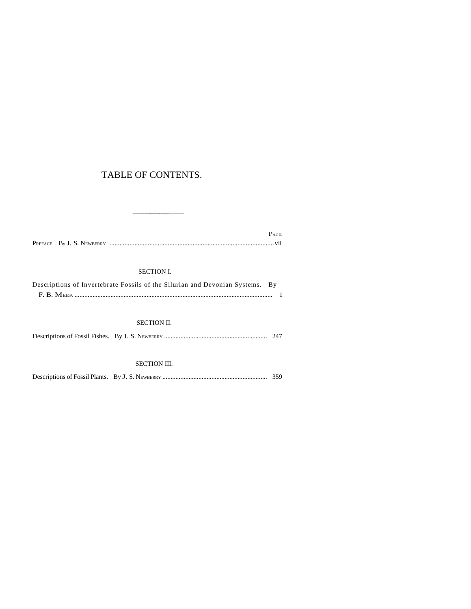## TABLE OF CONTENTS.

|  | $P_{\rm AGE}$ |
|--|---------------|
|  |               |

#### SECTION I.

| Descriptions of Invertebrate Fossils of the Silurian and Devonian Systems. By |  |
|-------------------------------------------------------------------------------|--|
|                                                                               |  |

#### SECTION II.

|--|--|--|

#### SECTION III.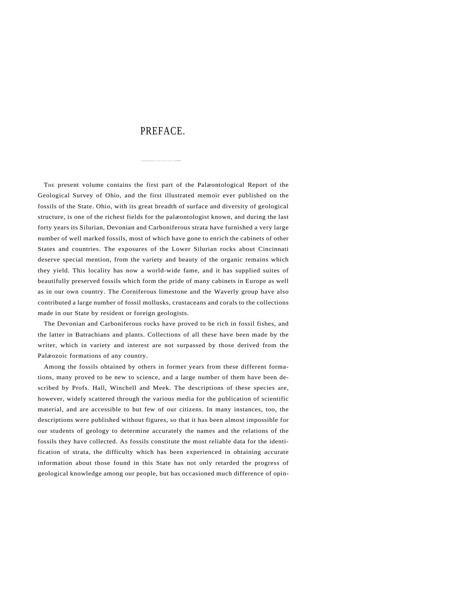## PREFACE.

THE present volume contains the first part of the Palæontological Report of the Geological Survey of Ohio, and the first illustrated memoir ever published on the fossils of the State. Ohio, with its great breadth of surface and diversity of geological structure, is one of the richest fields for the palæontologist known, and during the last forty years its Silurian, Devonian and Carboniferous strata have furnished a very large number of well marked fossils, most of which have gone to enrich the cabinets of other States and countries. The exposures of the Lower Silurian rocks about Cincinnati deserve special mention, from the variety and beauty of the organic remains which they yield. This locality has now a world-wide fame, and it has supplied suites of beautifully preserved fossils which form the pride of many cabinets in Europe as well as in our own country. The Corniferous limestone and the Waverly group have also contributed a large number of fossil mollusks, crustaceans and corals to the collections made in our State by resident or foreign geologists.

The Devonian and Carboniferous rocks have proved to be rich in fossil fishes, and the latter in Batrachians and plants. Collections of all these have been made by the writer, which in variety and interest are not surpassed by those derived from the Palæozoic formations of any country.

Among the fossils obtained by others in former years from these different formations, many proved to be new to science, and a large number of them have been described by Profs. Hall, Winchell and Meek. The descriptions of these species are, however, widely scattered through the various media for the publication of scientific material, and are accessible to but few of our citizens. In many instances, too, the descriptions were published without figures, so that it has been almost impossible for our students of geology to determine accurately the names and the relations of the fossils they have collected. As fossils constitute the most reliable data for the identification of strata, the difficulty which has been experienced in obtaining accurate information about those found in this State has not only retarded the progress of geological knowledge among our people, but has occasioned much difference of opin-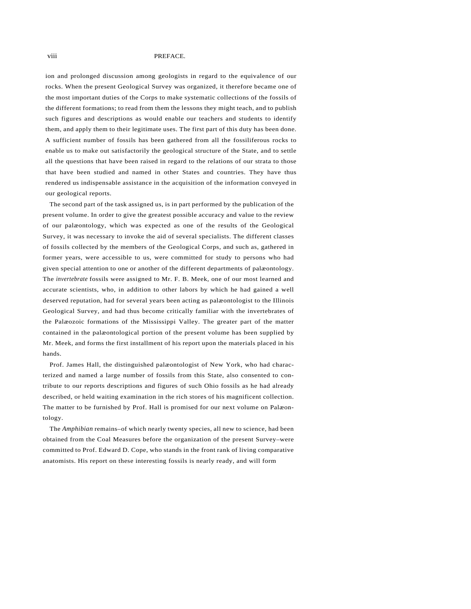#### PREFACE.

ion and prolonged discussion among geologists in regard to the equivalence of our rocks. When the present Geological Survey was organized, it therefore became one of the most important duties of the Corps to make systematic collections of the fossils of the different formations; to read from them the lessons they might teach, and to publish such figures and descriptions as would enable our teachers and students to identify them, and apply them to their legitimate uses. The first part of this duty has been done. A sufficient number of fossils has been gathered from all the fossiliferous rocks to enable us to make out satisfactorily the geological structure of the State, and to settle all the questions that have been raised in regard to the relations of our strata to those that have been studied and named in other States and countries. They have thus rendered us indispensable assistance in the acquisition of the information conveyed in our geological reports.

The second part of the task assigned us, is in part performed by the publication of the present volume. In order to give the greatest possible accuracy and value to the review of our palæontology, which was expected as one of the results of the Geological Survey, it was necessary to invoke the aid of several specialists. The different classes of fossils collected by the members of the Geological Corps, and such as, gathered in former years, were accessible to us, were committed for study to persons who had given special attention to one or another of the different departments of palæontology. The *invertebrate* fossils were assigned to Mr. F. B. Meek, one of our most learned and accurate scientists, who, in addition to other labors by which he had gained a well deserved reputation, had for several years been acting as palæontologist to the Illinois Geological Survey, and had thus become critically familiar with the invertebrates of the Palæozoic formations of the Mississippi Valley. The greater part of the matter contained in the palæontological portion of the present volume has been supplied by Mr. Meek, and forms the first installment of his report upon the materials placed in his hands.

Prof. James Hall, the distinguished palæontologist of New York, who had characterized and named a large number of fossils from this State, also consented to contribute to our reports descriptions and figures of such Ohio fossils as he had already described, or held waiting examination in the rich stores of his magnificent collection. The matter to be furnished by Prof. Hall is promised for our next volume on Palæontology.

The *Amphibian* remains–of which nearly twenty species, all new to science, had been obtained from the Coal Measures before the organization of the present Survey–were committed to Prof. Edward D. Cope, who stands in the front rank of living comparative anatomists. His report on these interesting fossils is nearly ready, and will form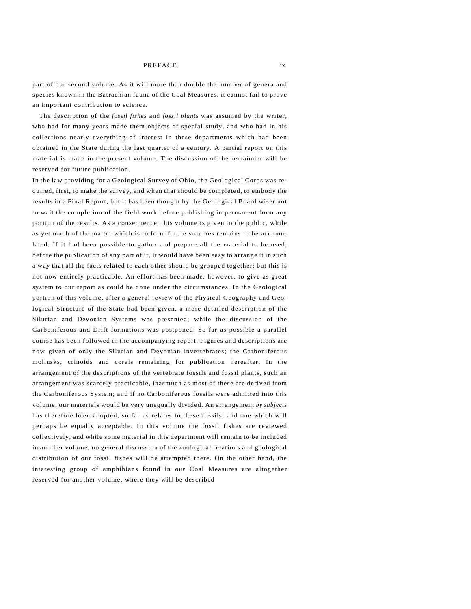#### PREFACE.

part of our second volume. As it will more than double the number of genera and species known in the Batrachian fauna of the Coal Measures, it cannot fail to prove an important contribution to science.

The description of the *fossil fishes* and *fossil plants* was assumed by the writer, who had for many years made them objects of special study, and who had in his collections nearly everything of interest in these departments which had been obtained in the State during the last quarter of a century. A partial report on this material is made in the present volume. The discussion of the remainder will be reserved for future publication.

In the law providing for a Geological Survey of Ohio, the Geological Corps was required, first, to make the survey, and when that should be completed, to embody the results in a Final Report, but it has been thought by the Geological Board wiser not to wait the completion of the field work before publishing in permanent form any portion of the results. As a consequence, this volume is given to the public, while as yet much of the matter which is to form future volumes remains to be accumulated. If it had been possible to gather and prepare all the material to be used, before the publication of any part of it, it would have been easy to arrange it in such a way that all the facts related to each other should be grouped together; but this is not now entirely practicable. An effort has been made, however, to give as great system to our report as could be done under the circumstances. In the Geological portion of this volume, after a general review of the Physical Geography and Geological Structure of the State had been given, a more detailed description of the Silurian and Devonian Systems was presented; while the discussion of the Carboniferous and Drift formations was postponed. So far as possible a parallel course has been followed in the accompanying report, Figures and descriptions are now given of only the Silurian and Devonian invertebrates; the Carboniferous mollusks, crinoids and corals remaining for publication hereafter. In the arrangement of the descriptions of the vertebrate fossils and fossil plants, such an arrangement was scarcely practicable, inasmuch as most of these are derived from the Carboniferous System; and if no Carboniferous fossils were admitted into this volume, our materials would be very unequally divided. An arrangement *by subjects*  has therefore been adopted, so far as relates to these fossils, and one which will perhaps be equally acceptable. In this volume the fossil fishes are reviewed collectively, and while some material in this department will remain to be included in another volume, no general discussion of the zoological relations and geological distribution of our fossil fishes will be attempted there. On the other hand, the interesting group of amphibians found in our Coal Measures are altogether reserved for another volume, where they will be described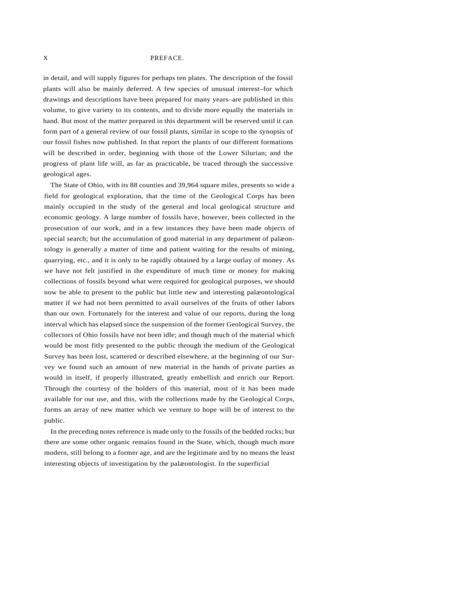#### x PREFACE.

in detail, and will supply figures for perhaps ten plates. The description of the fossil plants will also be mainly deferred. A few species of unusual interest–for which drawings and descriptions have been prepared for many years–are published in this volume, to give variety to its contents, and to divide more equally the materials in hand. But most of the matter prepared in this department will be reserved until it can form part of a general review of our fossil plants, similar in scope to the synopsis of our fossil fishes now published. In that report the plants of our different formations will be described in order, beginning with those of the Lower Silurian; and the progress of plant life will, as far as practicable, be traced through the successive geological ages.

The State of Ohio, with its 88 counties and 39,964 square miles, presents so wide a field for geological exploration, that the time of the Geological Corps has been mainly occupied in the study of the general and local geological structure and economic geology. A large number of fossils have, however, been collected in the prosecution of our work, and in a few instances they have been made objects of special search; but the accumulation of good material in any department of palæontology is generally a matter of time and patient waiting for the results of mining, quarrying, etc., and it is only to be rapidly obtained by a large outlay of money. As we have not felt justified in the expenditure of much time or money for making collections of fossils beyond what were required for geological purposes, we should now be able to present to the public but little new and interesting palæontological matter if we had not been permitted to avail ourselves of the fruits of other labors than our own. Fortunately for the interest and value of our reports, during the long interval which has elapsed since the suspension of the former Geological Survey, the collectors of Ohio fossils have not been idle; and though much of the material which would be most fitly presented to the public through the medium of the Geological Survey has been lost, scattered or described elsewhere, at the beginning of our Survey we found such an amount of new material in the hands of private parties as would in itself, if properly illustrated, greatly embellish and enrich our Report. Through the courtesy of the holders of this material, most of it has been made available for our use, and this, with the collections made by the Geological Corps, forms an array of new matter which we venture to hope will be of interest to the public.

In the preceding notes reference is made only to the fossils of the bedded rocks; but there are some other organic remains found in the State, which, though much more modern, still belong to a former age, and are the legitimate and by no means the least interesting objects of investigation by the palæontologist. In the superficial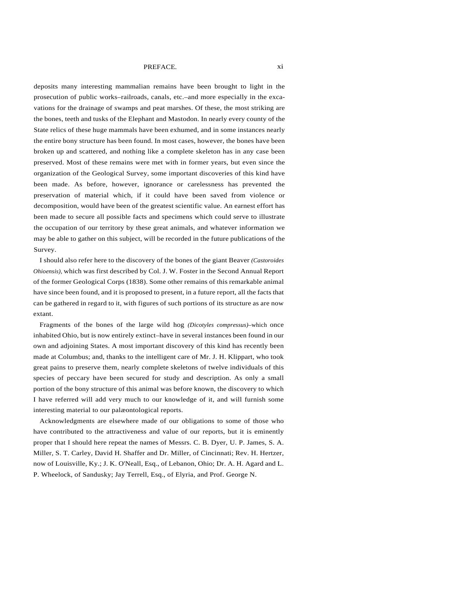#### PREFACE. xi

deposits many interesting mammalian remains have been brought to light in the prosecution of public works–railroads, canals, etc.–and more especially in the excavations for the drainage of swamps and peat marshes. Of these, the most striking are the bones, teeth and tusks of the Elephant and Mastodon. In nearly every county of the State relics of these huge mammals have been exhumed, and in some instances nearly the entire bony structure has been found. In most cases, however, the bones have been broken up and scattered, and nothing like a complete skeleton has in any case been preserved. Most of these remains were met with in former years, but even since the organization of the Geological Survey, some important discoveries of this kind have been made. As before, however, ignorance or carelessness has prevented the preservation of material which, if it could have been saved from violence or decomposition, would have been of the greatest scientific value. An earnest effort has been made to secure all possible facts and specimens which could serve to illustrate the occupation of our territory by these great animals, and whatever information we may be able to gather on this subject, will be recorded in the future publications of the Survey.

I should also refer here to the discovery of the bones of the giant Beaver *(Castoroides Ohioensis),* which was first described by Col. J. W. Foster in the Second Annual Report of the former Geological Corps (1838). Some other remains of this remarkable animal have since been found, and it is proposed to present, in a future report, all the facts that can be gathered in regard to it, with figures of such portions of its structure as are now extant.

Fragments of the bones of the large wild hog *(Dicotyles compressus)*–which once inhabited Ohio, but is now entirely extinct–have in several instances been found in our own and adjoining States. A most important discovery of this kind has recently been made at Columbus; and, thanks to the intelligent care of Mr. J. H. Klippart, who took great pains to preserve them, nearly complete skeletons of twelve individuals of this species of peccary have been secured for study and description. As only a small portion of the bony structure of this animal was before known, the discovery to which I have referred will add very much to our knowledge of it, and will furnish some interesting material to our palæontological reports.

Acknowledgments are elsewhere made of our obligations to some of those who have contributed to the attractiveness and value of our reports, but it is eminently proper that I should here repeat the names of Messrs. C. B. Dyer, U. P. James, S. A. Miller, S. T. Carley, David H. Shaffer and Dr. Miller, of Cincinnati; Rev. H. Hertzer, now of Louisville, Ky.; J. K. O'Neall, Esq., of Lebanon, Ohio; Dr. A. H. Agard and L. P. Wheelock, of Sandusky; Jay Terrell, Esq., of Elyria, and Prof. George N.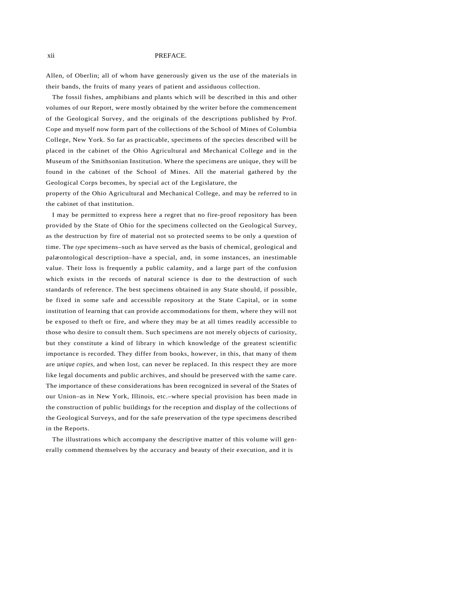#### xii PREFACE.

Allen, of Oberlin; all of whom have generously given us the use of the materials in their bands, the fruits of many years of patient and assiduous collection.

The fossil fishes, amphibians and plants which will be described in this and other volumes of our Report, were mostly obtained by the writer before the commencement of the Geological Survey, and the originals of the descriptions published by Prof. Cope and myself now form part of the collections of the School of Mines of Columbia College, New York. So far as practicable, specimens of the species described will be placed in the cabinet of the Ohio Agricultural and Mechanical College and in the Museum of the Smithsonian Institution. Where the specimens are unique, they will be found in the cabinet of the School of Mines. All the material gathered by the Geological Corps becomes, by special act of the Legislature, the

property of the Ohio Agricultural and Mechanical College, and may be referred to in the cabinet of that institution.

I may be permitted to express here a regret that no fire-proof repository has been provided by the State of Ohio for the specimens collected on the Geological Survey, as the destruction by fire of material not so protected seems to be only a question of time. The *type* specimens–such as have served as the basis of chemical, geological and palæontological description–have a special, and, in some instances, an inestimable value. Their loss is frequently a public calamity, and a large part of the confusion which exists in the records of natural science is due to the destruction of such standards of reference. The best specimens obtained in any State should, if possible, be fixed in some safe and accessible repository at the State Capital, or in some institution of learning that can provide accommodations for them, where they will not be exposed to theft or fire, and where they may be at all times readily accessible to those who desire to consult them. Such specimens are not merely objects of curiosity, but they constitute a kind of library in which knowledge of the greatest scientific importance is recorded. They differ from books, however, in this, that many of them are *unique copies,* and when lost, can never be replaced. In this respect they are more like legal documents and public archives, and should be preserved with the same care. The importance of these considerations has been recognized in several of the States of our Union–as in New York, Illinois, etc.–where special provision has been made in the construction of public buildings for the reception and display of the collections of the Geological Surveys, and for the safe preservation of the type specimens described in the Reports.

The illustrations which accompany the descriptive matter of this volume will generally commend themselves by the accuracy and beauty of their execution, and it is